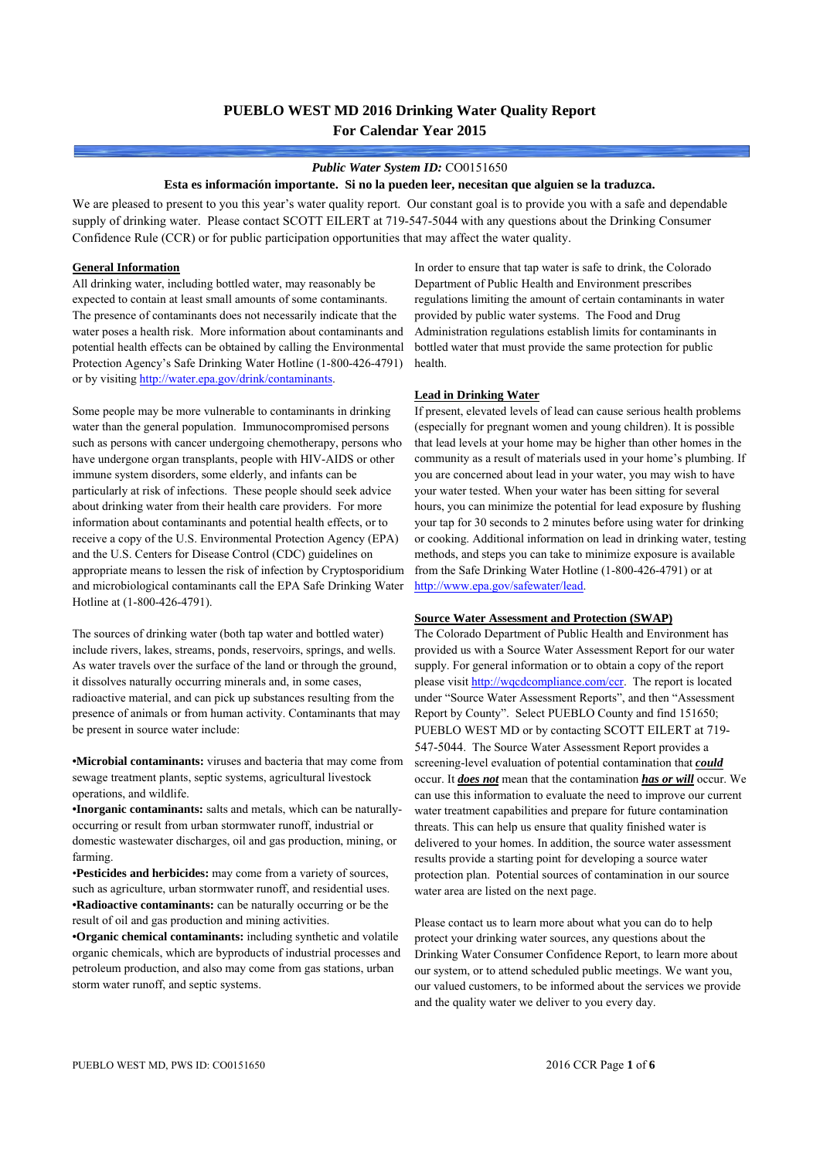# **PUEBLO WEST MD 2016 Drinking Water Quality Report For Calendar Year 2015**

#### *Public Water System ID:* CO0151650

#### **Esta es información importante. Si no la pueden leer, necesitan que alguien se la traduzca.**

We are pleased to present to you this year's water quality report. Our constant goal is to provide you with a safe and dependable supply of drinking water. Please contact SCOTT EILERT at 719-547-5044 with any questions about the Drinking Consumer Confidence Rule (CCR) or for public participation opportunities that may affect the water quality.

### **General Information**

All drinking water, including bottled water, may reasonably be expected to contain at least small amounts of some contaminants. The presence of contaminants does not necessarily indicate that the water poses a health risk. More information about contaminants and potential health effects can be obtained by calling the Environmental Protection Agency's Safe Drinking Water Hotline (1-800-426-4791) or by visiting http://water.epa.gov/drink/contaminants.

Some people may be more vulnerable to contaminants in drinking water than the general population. Immunocompromised persons such as persons with cancer undergoing chemotherapy, persons who have undergone organ transplants, people with HIV-AIDS or other immune system disorders, some elderly, and infants can be particularly at risk of infections. These people should seek advice about drinking water from their health care providers. For more information about contaminants and potential health effects, or to receive a copy of the U.S. Environmental Protection Agency (EPA) and the U.S. Centers for Disease Control (CDC) guidelines on appropriate means to lessen the risk of infection by Cryptosporidium and microbiological contaminants call the EPA Safe Drinking Water Hotline at (1-800-426-4791).

The sources of drinking water (both tap water and bottled water) include rivers, lakes, streams, ponds, reservoirs, springs, and wells. As water travels over the surface of the land or through the ground, it dissolves naturally occurring minerals and, in some cases, radioactive material, and can pick up substances resulting from the presence of animals or from human activity. Contaminants that may be present in source water include:

**•Microbial contaminants:** viruses and bacteria that may come from sewage treatment plants, septic systems, agricultural livestock operations, and wildlife.

**•Inorganic contaminants:** salts and metals, which can be naturallyoccurring or result from urban stormwater runoff, industrial or domestic wastewater discharges, oil and gas production, mining, or farming.

•**Pesticides and herbicides:** may come from a variety of sources, such as agriculture, urban stormwater runoff, and residential uses. **•Radioactive contaminants:** can be naturally occurring or be the result of oil and gas production and mining activities.

**•Organic chemical contaminants:** including synthetic and volatile organic chemicals, which are byproducts of industrial processes and petroleum production, and also may come from gas stations, urban storm water runoff, and septic systems.

In order to ensure that tap water is safe to drink, the Colorado Department of Public Health and Environment prescribes regulations limiting the amount of certain contaminants in water provided by public water systems. The Food and Drug Administration regulations establish limits for contaminants in bottled water that must provide the same protection for public health.

### **Lead in Drinking Water**

If present, elevated levels of lead can cause serious health problems (especially for pregnant women and young children). It is possible that lead levels at your home may be higher than other homes in the community as a result of materials used in your home's plumbing. If you are concerned about lead in your water, you may wish to have your water tested. When your water has been sitting for several hours, you can minimize the potential for lead exposure by flushing your tap for 30 seconds to 2 minutes before using water for drinking or cooking. Additional information on lead in drinking water, testing methods, and steps you can take to minimize exposure is available from the Safe Drinking Water Hotline (1-800-426-4791) or at http://www.epa.gov/safewater/lead.

#### **Source Water Assessment and Protection (SWAP)**

The Colorado Department of Public Health and Environment has provided us with a Source Water Assessment Report for our water supply. For general information or to obtain a copy of the report please visit http://wqcdcompliance.com/ccr. The report is located under "Source Water Assessment Reports", and then "Assessment Report by County". Select PUEBLO County and find 151650; PUEBLO WEST MD or by contacting SCOTT EILERT at 719- 547-5044. The Source Water Assessment Report provides a screening-level evaluation of potential contamination that *could* occur. It *does not* mean that the contamination *has or will* occur. We can use this information to evaluate the need to improve our current water treatment capabilities and prepare for future contamination threats. This can help us ensure that quality finished water is delivered to your homes. In addition, the source water assessment results provide a starting point for developing a source water protection plan. Potential sources of contamination in our source water area are listed on the next page.

Please contact us to learn more about what you can do to help protect your drinking water sources, any questions about the Drinking Water Consumer Confidence Report, to learn more about our system, or to attend scheduled public meetings. We want you, our valued customers, to be informed about the services we provide and the quality water we deliver to you every day.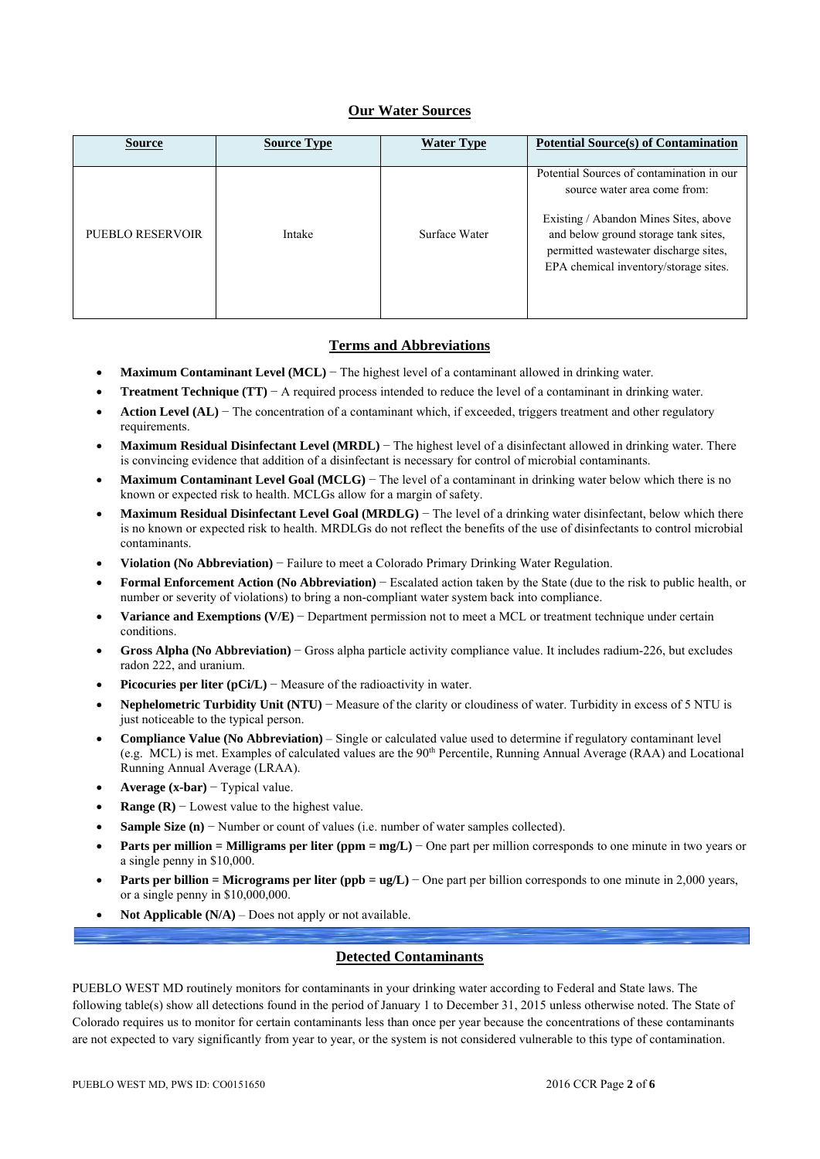## **Our Water Sources**

| <b>Source</b>    | <b>Source Type</b> | <b>Water Type</b> | <b>Potential Source(s) of Contamination</b>                                                                                                                                                                                                  |
|------------------|--------------------|-------------------|----------------------------------------------------------------------------------------------------------------------------------------------------------------------------------------------------------------------------------------------|
| PUEBLO RESERVOIR | Intake             | Surface Water     | Potential Sources of contamination in our<br>source water area come from:<br>Existing / Abandon Mines Sites, above<br>and below ground storage tank sites,<br>permitted wastewater discharge sites,<br>EPA chemical inventory/storage sites. |

### **Terms and Abbreviations**

- **Maximum Contaminant Level (MCL)** − The highest level of a contaminant allowed in drinking water.
- **Treatment Technique (TT)** − A required process intended to reduce the level of a contaminant in drinking water.
- **Action Level (AL)** − The concentration of a contaminant which, if exceeded, triggers treatment and other regulatory requirements.
- **Maximum Residual Disinfectant Level (MRDL)** − The highest level of a disinfectant allowed in drinking water. There is convincing evidence that addition of a disinfectant is necessary for control of microbial contaminants.
- **Maximum Contaminant Level Goal (MCLG)** − The level of a contaminant in drinking water below which there is no known or expected risk to health. MCLGs allow for a margin of safety.
- **Maximum Residual Disinfectant Level Goal (MRDLG)** − The level of a drinking water disinfectant, below which there is no known or expected risk to health. MRDLGs do not reflect the benefits of the use of disinfectants to control microbial contaminants.
- **Violation (No Abbreviation)** − Failure to meet a Colorado Primary Drinking Water Regulation.
- **Formal Enforcement Action (No Abbreviation)** − Escalated action taken by the State (due to the risk to public health, or number or severity of violations) to bring a non-compliant water system back into compliance.
- **Variance and Exemptions (V/E)** − Department permission not to meet a MCL or treatment technique under certain conditions.
- **Gross Alpha (No Abbreviation)** − Gross alpha particle activity compliance value. It includes radium-226, but excludes radon 222, and uranium.
- **Picocuries per liter (pCi/L)** − Measure of the radioactivity in water.
- **Nephelometric Turbidity Unit (NTU)** − Measure of the clarity or cloudiness of water. Turbidity in excess of 5 NTU is just noticeable to the typical person.
- **Compliance Value (No Abbreviation)** Single or calculated value used to determine if regulatory contaminant level (e.g. MCL) is met. Examples of calculated values are the 90th Percentile, Running Annual Average (RAA) and Locational Running Annual Average (LRAA).
- **Average (x-bar)** − Typical value.
- **Range (R)**  $-$  Lowest value to the highest value.
- **Sample Size (n)** − Number or count of values (i.e. number of water samples collected).
- **Parts per million = Milligrams per liter (ppm = mg/L)** − One part per million corresponds to one minute in two years or a single penny in \$10,000.
- **Parts per billion = Micrograms per liter (ppb = ug/L)** − One part per billion corresponds to one minute in 2,000 years, or a single penny in \$10,000,000.
- **Not Applicable (N/A)** Does not apply or not available.

### **Detected Contaminants**

PUEBLO WEST MD routinely monitors for contaminants in your drinking water according to Federal and State laws. The following table(s) show all detections found in the period of January 1 to December 31, 2015 unless otherwise noted. The State of Colorado requires us to monitor for certain contaminants less than once per year because the concentrations of these contaminants are not expected to vary significantly from year to year, or the system is not considered vulnerable to this type of contamination.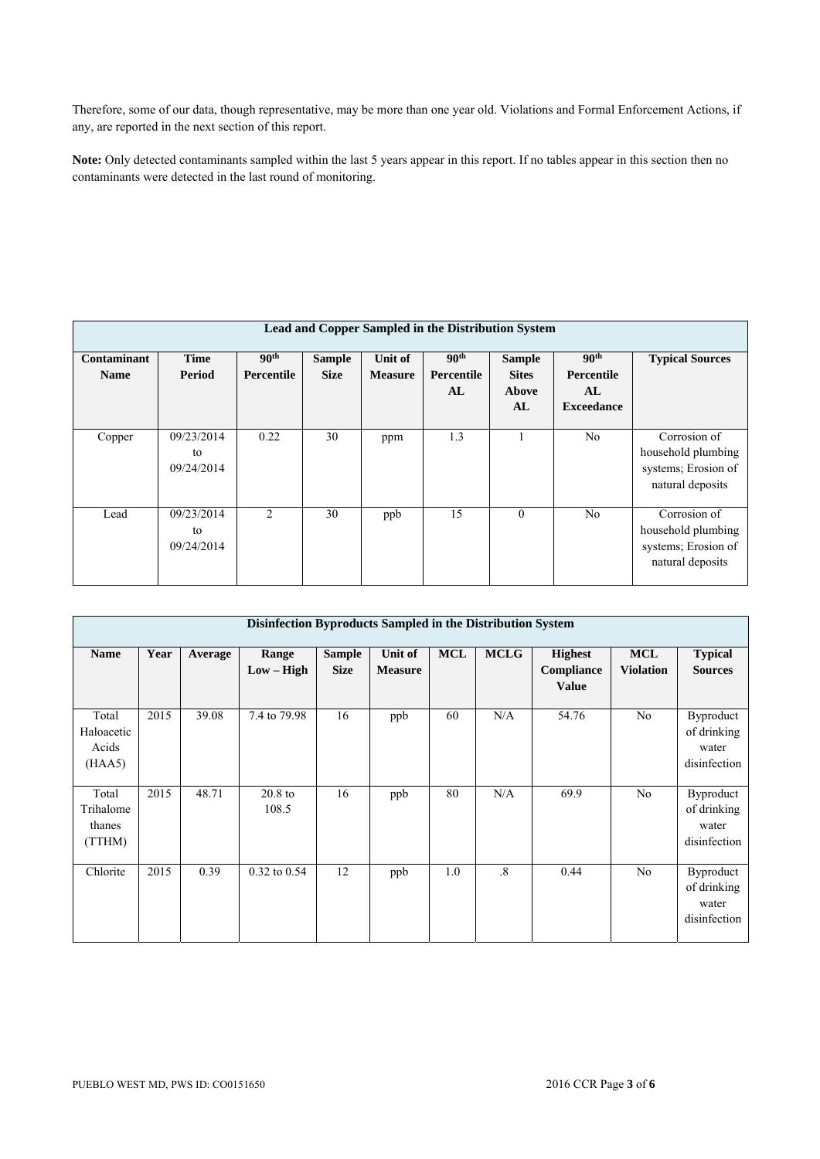Therefore, some of our data, though representative, may be more than one year old. Violations and Formal Enforcement Actions, if any, are reported in the next section of this report.

**Note:** Only detected contaminants sampled within the last 5 years appear in this report. If no tables appear in this section then no contaminants were detected in the last round of monitoring.

| Lead and Copper Sampled in the Distribution System |                                |                                |                              |                           |                                      |                                              |                                                           |                                                                               |  |  |  |  |
|----------------------------------------------------|--------------------------------|--------------------------------|------------------------------|---------------------------|--------------------------------------|----------------------------------------------|-----------------------------------------------------------|-------------------------------------------------------------------------------|--|--|--|--|
| <b>Contaminant</b><br><b>Name</b>                  | Time<br>Period                 | 90 <sup>th</sup><br>Percentile | <b>Sample</b><br><b>Size</b> | Unit of<br><b>Measure</b> | 90 <sup>th</sup><br>Percentile<br>AL | <b>Sample</b><br><b>Sites</b><br>Above<br>AL | 90 <sup>th</sup><br>Percentile<br>AL<br><b>Exceedance</b> | <b>Typical Sources</b>                                                        |  |  |  |  |
| Copper                                             | 09/23/2014<br>to<br>09/24/2014 | 0.22                           | 30                           | ppm                       | 1.3                                  |                                              | N <sub>0</sub>                                            | Corrosion of<br>household plumbing<br>systems; Erosion of<br>natural deposits |  |  |  |  |
| Lead                                               | 09/23/2014<br>to<br>09/24/2014 | $\mathfrak{D}$                 | 30                           | ppb                       | 15                                   | $\theta$                                     | N <sub>0</sub>                                            | Corrosion of<br>household plumbing<br>systems; Erosion of<br>natural deposits |  |  |  |  |

| Disinfection Byproducts Sampled in the Distribution System |      |         |                       |                              |                           |            |                        |                                                     |                                |                                                          |  |  |
|------------------------------------------------------------|------|---------|-----------------------|------------------------------|---------------------------|------------|------------------------|-----------------------------------------------------|--------------------------------|----------------------------------------------------------|--|--|
| <b>Name</b>                                                | Year | Average | Range<br>$Low - High$ | <b>Sample</b><br><b>Size</b> | Unit of<br><b>Measure</b> | <b>MCL</b> | <b>MCLG</b>            | <b>Highest</b><br><b>Compliance</b><br><b>Value</b> | <b>MCL</b><br><b>Violation</b> | <b>Typical</b><br><b>Sources</b>                         |  |  |
| Total<br>Haloacetic<br>Acids<br>(HAA5)                     | 2015 | 39.08   | 7.4 to 79.98          | 16                           | ppb                       | 60         | N/A                    | 54.76                                               | No                             | <b>Byproduct</b><br>of drinking<br>water<br>disinfection |  |  |
| Total<br>Trihalome<br>thanes<br>(TTHM)                     | 2015 | 48.71   | $20.8$ to<br>108.5    | 16                           | ppb                       | 80         | N/A                    | 69.9                                                | No                             | Byproduct<br>of drinking<br>water<br>disinfection        |  |  |
| Chlorite                                                   | 2015 | 0.39    | 0.32 to 0.54          | 12                           | ppb                       | 1.0        | $\cdot$ <sup>8</sup> . | 0.44                                                | N <sub>o</sub>                 | <b>Byproduct</b><br>of drinking<br>water<br>disinfection |  |  |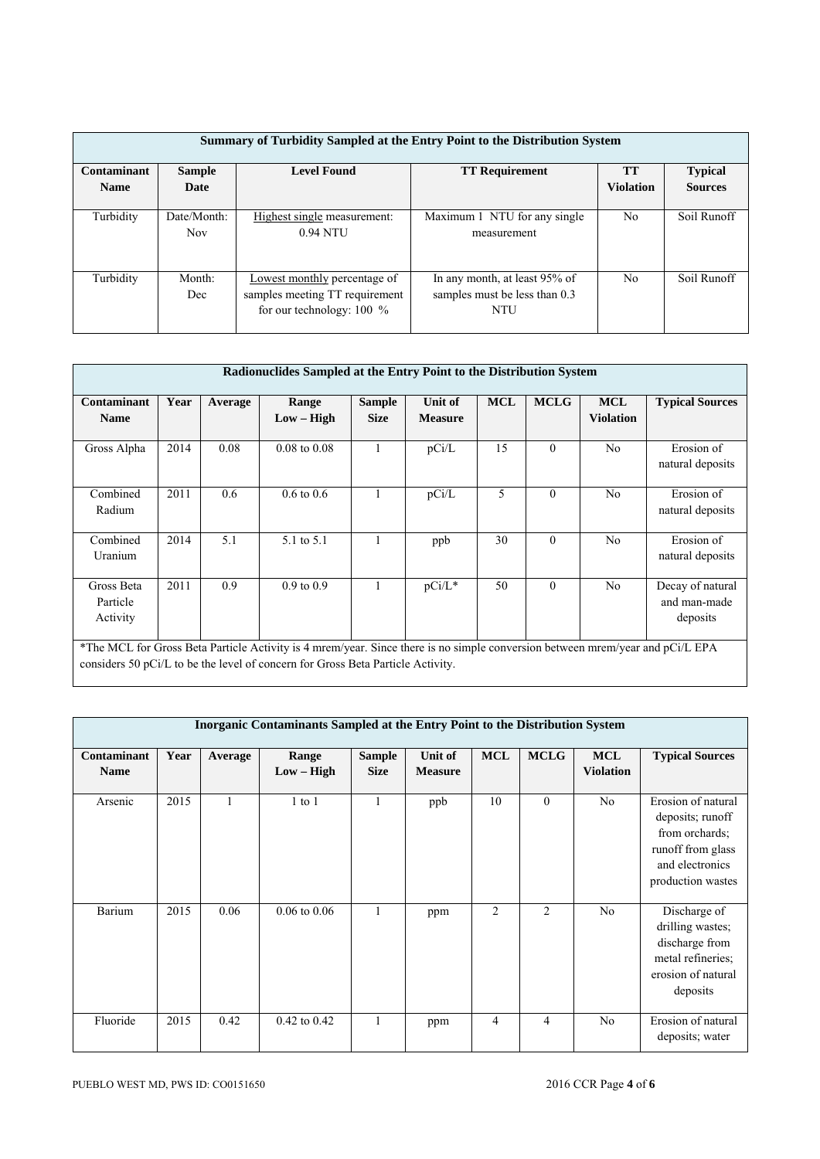| Summary of Turbidity Sampled at the Entry Point to the Distribution System |               |                                |                               |                  |                |  |  |  |  |  |  |
|----------------------------------------------------------------------------|---------------|--------------------------------|-------------------------------|------------------|----------------|--|--|--|--|--|--|
| <b>Contaminant</b>                                                         | <b>Sample</b> | <b>TT</b>                      | <b>Typical</b>                |                  |                |  |  |  |  |  |  |
| <b>Name</b>                                                                | Date          |                                |                               | <b>Violation</b> | <b>Sources</b> |  |  |  |  |  |  |
|                                                                            |               |                                |                               |                  |                |  |  |  |  |  |  |
| Turbidity                                                                  | Date/Month:   | Highest single measurement:    | Maximum 1 NTU for any single  | No               | Soil Runoff    |  |  |  |  |  |  |
|                                                                            | <b>Nov</b>    | 0.94 NTU                       | measurement                   |                  |                |  |  |  |  |  |  |
|                                                                            |               |                                |                               |                  |                |  |  |  |  |  |  |
|                                                                            |               |                                |                               |                  |                |  |  |  |  |  |  |
| Turbidity                                                                  | Month:        | Lowest monthly percentage of   | In any month, at least 95% of | N <sub>0</sub>   | Soil Runoff    |  |  |  |  |  |  |
|                                                                            | Dec           | samples meeting TT requirement | samples must be less than 0.3 |                  |                |  |  |  |  |  |  |
|                                                                            |               | for our technology: $100\%$    | NTU                           |                  |                |  |  |  |  |  |  |
|                                                                            |               |                                |                               |                  |                |  |  |  |  |  |  |

| Radionuclides Sampled at the Entry Point to the Distribution System |      |         |                                                                                                                                                                                                                  |                              |                           |            |             |                                |                                              |  |  |  |
|---------------------------------------------------------------------|------|---------|------------------------------------------------------------------------------------------------------------------------------------------------------------------------------------------------------------------|------------------------------|---------------------------|------------|-------------|--------------------------------|----------------------------------------------|--|--|--|
|                                                                     |      |         |                                                                                                                                                                                                                  |                              |                           |            |             |                                |                                              |  |  |  |
| Contaminant<br><b>Name</b>                                          | Year | Average | Range<br>$Low - High$                                                                                                                                                                                            | <b>Sample</b><br><b>Size</b> | Unit of<br><b>Measure</b> | <b>MCL</b> | <b>MCLG</b> | <b>MCL</b><br><b>Violation</b> | <b>Typical Sources</b>                       |  |  |  |
| Gross Alpha                                                         | 2014 | 0.08    | $0.08 \text{ to } 0.08$                                                                                                                                                                                          |                              | pCi/L                     | 15         | $\theta$    | No                             | Erosion of<br>natural deposits               |  |  |  |
| Combined<br>Radium                                                  | 2011 | 0.6     | $0.6 \text{ to } 0.6$                                                                                                                                                                                            |                              | pCi/L                     | 5          | $\theta$    | N <sub>0</sub>                 | Erosion of<br>natural deposits               |  |  |  |
| Combined<br>Uranium                                                 | 2014 | 5.1     | 5.1 to 5.1                                                                                                                                                                                                       |                              | ppb                       | 30         | $\theta$    | No                             | Erosion of<br>natural deposits               |  |  |  |
| Gross Beta<br>Particle<br>Activity                                  | 2011 | 0.9     | $0.9$ to $0.9$                                                                                                                                                                                                   |                              | $pCi/L^*$                 | 50         | $\theta$    | N <sub>0</sub>                 | Decay of natural<br>and man-made<br>deposits |  |  |  |
|                                                                     |      |         | *The MCL for Gross Beta Particle Activity is 4 mrem/year. Since there is no simple conversion between mrem/year and pCi/L EPA<br>considers 50 pCi/L to be the level of concern for Gross Beta Particle Activity. |                              |                           |            |             |                                |                                              |  |  |  |

| Inorganic Contaminants Sampled at the Entry Point to the Distribution System |      |         |                  |               |                |                |              |                  |                        |  |  |  |
|------------------------------------------------------------------------------|------|---------|------------------|---------------|----------------|----------------|--------------|------------------|------------------------|--|--|--|
|                                                                              |      |         |                  |               |                |                |              |                  |                        |  |  |  |
| <b>Contaminant</b>                                                           | Year | Average | Range            | <b>Sample</b> | Unit of        | <b>MCL</b>     | <b>MCLG</b>  | <b>MCL</b>       | <b>Typical Sources</b> |  |  |  |
| <b>Name</b>                                                                  |      |         | $Low - High$     | <b>Size</b>   | <b>Measure</b> |                |              | <b>Violation</b> |                        |  |  |  |
|                                                                              |      |         |                  |               |                |                |              |                  |                        |  |  |  |
| Arsenic                                                                      | 2015 |         | $1$ to $1$       | $\mathbf{1}$  | ppb            | 10             | $\mathbf{0}$ | No               | Erosion of natural     |  |  |  |
|                                                                              |      |         |                  |               |                |                |              |                  | deposits; runoff       |  |  |  |
|                                                                              |      |         |                  |               |                |                |              |                  | from orchards;         |  |  |  |
|                                                                              |      |         |                  |               |                |                |              |                  | runoff from glass      |  |  |  |
|                                                                              |      |         |                  |               |                |                |              |                  | and electronics        |  |  |  |
|                                                                              |      |         |                  |               |                |                |              |                  | production wastes      |  |  |  |
|                                                                              |      |         |                  |               |                |                |              |                  |                        |  |  |  |
| Barium                                                                       | 2015 | 0.06    | $0.06$ to $0.06$ | $\mathbf{1}$  | ppm            | $\overline{2}$ | 2            | No               | Discharge of           |  |  |  |
|                                                                              |      |         |                  |               |                |                |              |                  | drilling wastes;       |  |  |  |
|                                                                              |      |         |                  |               |                |                |              |                  | discharge from         |  |  |  |
|                                                                              |      |         |                  |               |                |                |              |                  | metal refineries;      |  |  |  |
|                                                                              |      |         |                  |               |                |                |              |                  | erosion of natural     |  |  |  |
|                                                                              |      |         |                  |               |                |                |              |                  | deposits               |  |  |  |
|                                                                              |      |         |                  |               |                |                |              |                  |                        |  |  |  |
| Fluoride                                                                     | 2015 | 0.42    | $0.42$ to $0.42$ | 1             | ppm            | 4              | 4            | No               | Erosion of natural     |  |  |  |
|                                                                              |      |         |                  |               |                |                |              |                  | deposits; water        |  |  |  |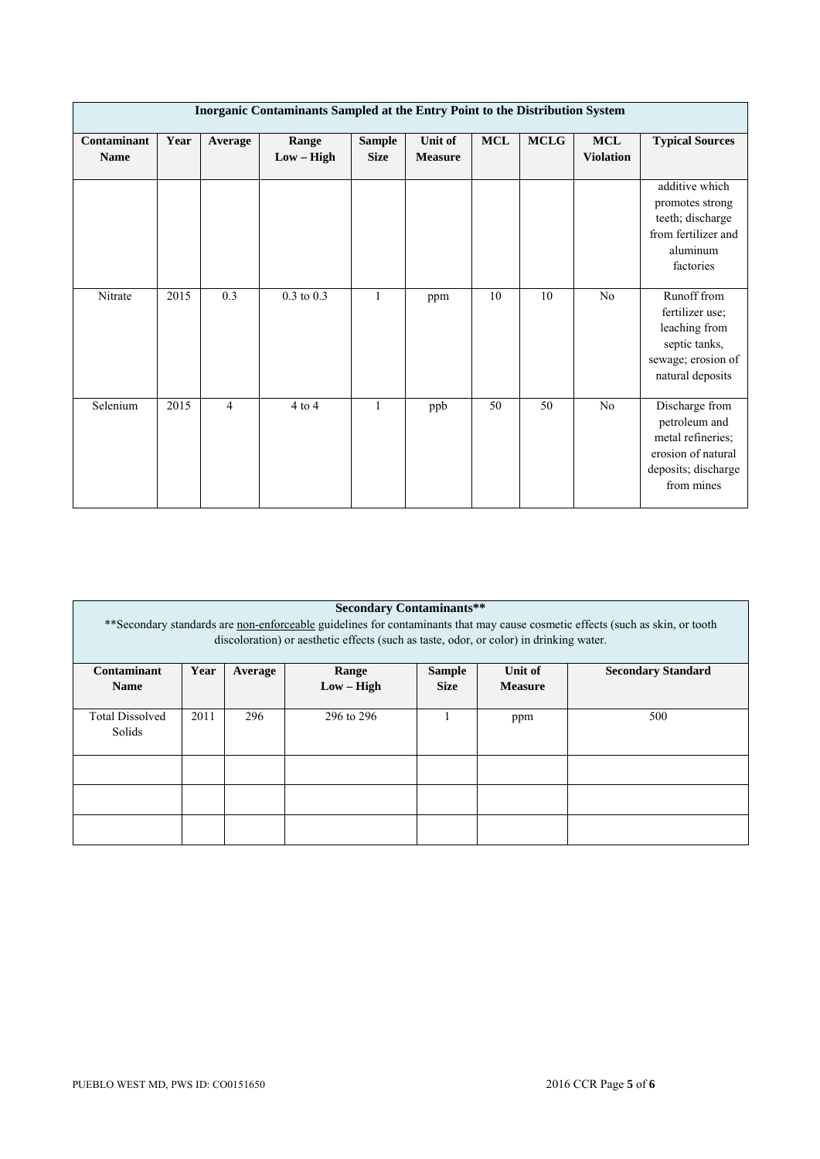| Inorganic Contaminants Sampled at the Entry Point to the Distribution System |      |                  |                       |                              |                           |           |             |                         |                                                                                                                 |  |  |  |
|------------------------------------------------------------------------------|------|------------------|-----------------------|------------------------------|---------------------------|-----------|-------------|-------------------------|-----------------------------------------------------------------------------------------------------------------|--|--|--|
| Contaminant<br><b>Name</b>                                                   | Year | Average          | Range<br>$Low - High$ | <b>Sample</b><br><b>Size</b> | Unit of<br><b>Measure</b> | $\bf MCL$ | <b>MCLG</b> | MCL<br><b>Violation</b> | <b>Typical Sources</b>                                                                                          |  |  |  |
|                                                                              |      |                  |                       |                              |                           |           |             |                         | additive which<br>promotes strong<br>teeth; discharge<br>from fertilizer and<br>aluminum<br>factories           |  |  |  |
| Nitrate                                                                      | 2015 | $\overline{0.3}$ | $0.3$ to $0.3$        | 1                            | ppm                       | 10        | 10          | N <sub>0</sub>          | Runoff from<br>fertilizer use;<br>leaching from<br>septic tanks,<br>sewage; erosion of<br>natural deposits      |  |  |  |
| Selenium                                                                     | 2015 | $\overline{4}$   | $4$ to $4$            | 1                            | ppb                       | 50        | 50          | N <sub>0</sub>          | Discharge from<br>petroleum and<br>metal refineries;<br>erosion of natural<br>deposits; discharge<br>from mines |  |  |  |

| <b>Secondary Contaminants**</b>                                                                                                |                                                                                   |     |              |             |                |     |  |  |  |  |  |
|--------------------------------------------------------------------------------------------------------------------------------|-----------------------------------------------------------------------------------|-----|--------------|-------------|----------------|-----|--|--|--|--|--|
| ** Secondary standards are non-enforceable guidelines for contaminants that may cause cosmetic effects (such as skin, or tooth |                                                                                   |     |              |             |                |     |  |  |  |  |  |
| discoloration) or aesthetic effects (such as taste, odor, or color) in drinking water.                                         |                                                                                   |     |              |             |                |     |  |  |  |  |  |
|                                                                                                                                |                                                                                   |     |              |             |                |     |  |  |  |  |  |
| Contaminant                                                                                                                    | Year<br><b>Sample</b><br>Unit of<br><b>Secondary Standard</b><br>Range<br>Average |     |              |             |                |     |  |  |  |  |  |
| <b>Name</b>                                                                                                                    |                                                                                   |     | $Low - High$ | <b>Size</b> | <b>Measure</b> |     |  |  |  |  |  |
|                                                                                                                                |                                                                                   |     |              |             |                |     |  |  |  |  |  |
| <b>Total Dissolved</b>                                                                                                         | 2011                                                                              | 296 | 296 to 296   |             | ppm            | 500 |  |  |  |  |  |
| Solids                                                                                                                         |                                                                                   |     |              |             |                |     |  |  |  |  |  |
|                                                                                                                                |                                                                                   |     |              |             |                |     |  |  |  |  |  |
|                                                                                                                                |                                                                                   |     |              |             |                |     |  |  |  |  |  |
|                                                                                                                                |                                                                                   |     |              |             |                |     |  |  |  |  |  |
|                                                                                                                                |                                                                                   |     |              |             |                |     |  |  |  |  |  |
|                                                                                                                                |                                                                                   |     |              |             |                |     |  |  |  |  |  |
|                                                                                                                                |                                                                                   |     |              |             |                |     |  |  |  |  |  |
|                                                                                                                                |                                                                                   |     |              |             |                |     |  |  |  |  |  |